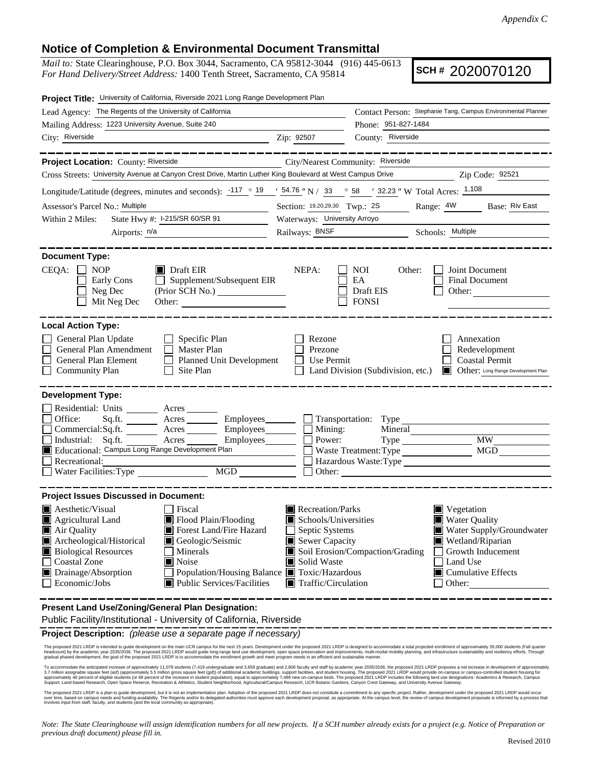## **Notice of Completion & Environmental Document Transmittal**

*Mail to:* State Clearinghouse, P.O. Box 3044, Sacramento, CA 95812-3044 (916) 445-0613 *For Hand Delivery/Street Address:* 1400 Tenth Street, Sacramento, CA 95814

**SCH #** 2020070120

| Project Title: University of California, Riverside 2021 Long Range Development Plan                                                                                              |                                                              |                                                        |                                                                                            |  |  |
|----------------------------------------------------------------------------------------------------------------------------------------------------------------------------------|--------------------------------------------------------------|--------------------------------------------------------|--------------------------------------------------------------------------------------------|--|--|
| Lead Agency: The Regents of the University of California                                                                                                                         | Contact Person: Stephanie Tang, Campus Environmental Planner |                                                        |                                                                                            |  |  |
| Mailing Address: 1223 University Avenue, Suite 240                                                                                                                               |                                                              | Phone: 951-827-1484                                    |                                                                                            |  |  |
| City: Riverside                                                                                                                                                                  | Zip: 92507                                                   | County: Riverside                                      |                                                                                            |  |  |
| . __ __ __ __ __ __ __ __<br>Project Location: County: Riverside                                                                                                                 | City/Nearest Community: Riverside                            |                                                        |                                                                                            |  |  |
| Cross Streets: University Avenue at Canyon Crest Drive, Martin Luther King Boulevard at West Campus Drive                                                                        |                                                              |                                                        | Zip Code: 92521                                                                            |  |  |
|                                                                                                                                                                                  |                                                              |                                                        |                                                                                            |  |  |
| Longitude/Latitude (degrees, minutes and seconds): $\frac{-117}{9}$ $\frac{19}{19}$ $\frac{154.76}{19}$ N / 33 $\degree$ 58 $\degree$ 32.23 " W Total Acres: $\frac{1,108}{100}$ |                                                              |                                                        |                                                                                            |  |  |
| Assessor's Parcel No.: Multiple                                                                                                                                                  |                                                              | Section: 19,20,29,30 Twp.: 2S Range: 4W Base: Riv East |                                                                                            |  |  |
| State Hwy #: I-215/SR 60/SR 91<br>Within 2 Miles:                                                                                                                                |                                                              | Waterways: University Arroyo                           |                                                                                            |  |  |
| Airports: $n/a$                                                                                                                                                                  | Railways: BNSF                                               |                                                        | Schools: Multiple                                                                          |  |  |
| <b>Document Type:</b>                                                                                                                                                            |                                                              |                                                        |                                                                                            |  |  |
| CEQA:<br>$\Box$ NOP<br>$\blacksquare$ Draft EIR<br>$\Box$ Supplement/Subsequent EIR<br>Early Cons<br>Neg Dec<br>(Prior SCH No.) ________________<br>Mit Neg Dec                  | NEPA:                                                        | NOI<br>Other:<br>EA<br>Draft EIS<br><b>FONSI</b>       | Joint Document<br><b>Final Document</b><br>Other:                                          |  |  |
| <b>Local Action Type:</b>                                                                                                                                                        |                                                              |                                                        |                                                                                            |  |  |
| General Plan Update<br>Specific Plan<br>General Plan Amendment<br>Master Plan<br>General Plan Element<br>Planned Unit Development<br><b>Community Plan</b><br>Site Plan          | Rezone<br>Prezone<br>Use Permit                              | Land Division (Subdivision, etc.)                      | Annexation<br>Redevelopment<br><b>Coastal Permit</b><br>Other: Long Range Development Plan |  |  |
| <b>Development Type:</b>                                                                                                                                                         |                                                              |                                                        |                                                                                            |  |  |
| Residential: Units ________ Acres _______                                                                                                                                        |                                                              |                                                        |                                                                                            |  |  |
| Office:<br>Sq.fit.<br>A <sub>cres</sub>                                                                                                                                          | Employees Transportation: Type                               |                                                        |                                                                                            |  |  |
| Acres Employees<br>Commercial:Sq.ft.<br>Industrial: Sq.ft.<br>Acres                                                                                                              | Mining:<br>Employees_______<br>Power:                        | Mineral                                                | MW                                                                                         |  |  |
| Educational: Campus Long Range Development Plan                                                                                                                                  |                                                              | Waste Treatment: Type                                  | MGD                                                                                        |  |  |
| Recreational:                                                                                                                                                                    |                                                              | Hazardous Waste: Type                                  |                                                                                            |  |  |
| $\begin{tabular}{ c c } \hline \text{MGD} & \text{---} \\ \hline \end{tabular}$<br>Water Facilities: Type<br>Other:                                                              |                                                              |                                                        |                                                                                            |  |  |
| <b>Project Issues Discussed in Document:</b>                                                                                                                                     |                                                              |                                                        |                                                                                            |  |  |
| $\blacksquare$ Aesthetic/Visual<br>Fiscal                                                                                                                                        | Recreation/Parks                                             |                                                        | $\blacksquare$ Vegetation                                                                  |  |  |
| Flood Plain/Flooding<br>Agricultural Land                                                                                                                                        | Schools/Universities                                         |                                                        | <b>Water Quality</b>                                                                       |  |  |
| Air Quality<br>Forest Land/Fire Hazard                                                                                                                                           | Septic Systems                                               |                                                        | Water Supply/Groundwater                                                                   |  |  |
| Archeological/Historical<br>Geologic/Seismic<br>Ш                                                                                                                                | Sewer Capacity                                               |                                                        | Wetland/Riparian                                                                           |  |  |
| <b>Biological Resources</b><br>Minerals                                                                                                                                          |                                                              | Soil Erosion/Compaction/Grading                        | Growth Inducement                                                                          |  |  |
| <b>Coastal Zone</b><br>Noise<br>Drainage/Absorption                                                                                                                              | Solid Waste<br>Population/Housing Balance ■ Toxic/Hazardous  |                                                        | Land Use<br>$\Box$ Cumulative Effects                                                      |  |  |
| Economic/Jobs<br>Public Services/Facilities                                                                                                                                      |                                                              | $\blacksquare$ Traffic/Circulation<br>Other:           |                                                                                            |  |  |
| Present Land Use/Zoning/General Plan Designation:<br>Public Facility/Institutional - University of California, Riverside                                                         |                                                              |                                                        |                                                                                            |  |  |
| Project Description: (please use a separate page if necessary)                                                                                                                   |                                                              |                                                        |                                                                                            |  |  |

The proposed 2021 LRDP is intended to guide development on the main UCR campus for the next 15 years. Development under the proposed 2021 LRDP is designed to accommodate a total projected enrollment of approximately 35,000

To accommodate the anticipated increase of approximately 11,078 students (7,419 undergraduate and 3,659 graduate) and startly assuare feel (gsfl) of additional academic buildings, support facilities, and student housing. T

The proposed 2021 LRDP is a plan to guide development, but it is not an implementation plan. Adoption of the proposed 2021 LRDP does not constitute a commitment to any specific project. Rather, development under the propos

*Note: The State Clearinghouse will assign identification numbers for all new projects. If a SCH number already exists for a project (e.g. Notice of Preparation or previous draft document) please fill in.*